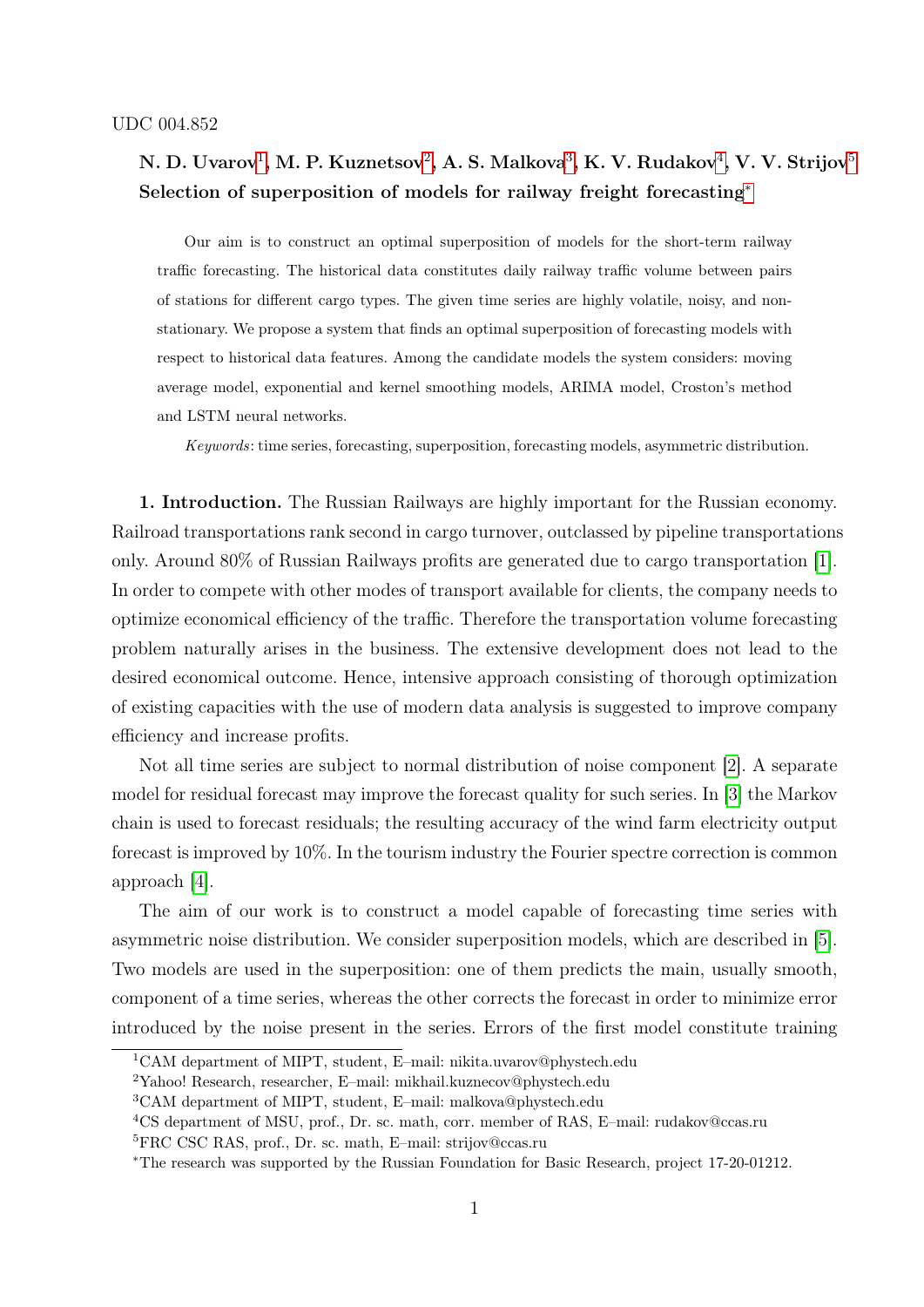# N. D. Uvarov $^1,$  $^1,$  $^1,$  M. P. Kuznetsov $^2,$  $^2,$  $^2,$  A. S. Malkova $^3,$  $^3,$  $^3,$  K. V. Rudakov $^4,$  $^4,$  $^4,$  V. V. Strijov $^5$  $^5$ Selection of superposition of models for railway freight forecasting<sup>[∗](#page-0-5)</sup>

Our aim is to construct an optimal superposition of models for the short-term railway traffic forecasting. The historical data constitutes daily railway traffic volume between pairs of stations for different cargo types. The given time series are highly volatile, noisy, and nonstationary. We propose a system that finds an optimal superposition of forecasting models with respect to historical data features. Among the candidate models the system considers: moving average model, exponential and kernel smoothing models, ARIMA model, Croston's method and LSTM neural networks.

Keywords: time series, forecasting, superposition, forecasting models, asymmetric distribution.

1. Introduction. The Russian Railways are highly important for the Russian economy. Railroad transportations rank second in cargo turnover, outclassed by pipeline transportations only. Around 80% of Russian Railways profits are generated due to cargo transportation [\[1\]](#page-8-0). In order to compete with other modes of transport available for clients, the company needs to optimize economical efficiency of the traffic. Therefore the transportation volume forecasting problem naturally arises in the business. The extensive development does not lead to the desired economical outcome. Hence, intensive approach consisting of thorough optimization of existing capacities with the use of modern data analysis is suggested to improve company efficiency and increase profits.

Not all time series are subject to normal distribution of noise component [\[2\]](#page-8-1). A separate model for residual forecast may improve the forecast quality for such series. In [\[3\]](#page-8-2) the Markov chain is used to forecast residuals; the resulting accuracy of the wind farm electricity output forecast is improved by 10%. In the tourism industry the Fourier spectre correction is common approach [\[4\]](#page-8-3).

The aim of our work is to construct a model capable of forecasting time series with asymmetric noise distribution. We consider superposition models, which are described in [\[5\]](#page-8-4). Two models are used in the superposition: one of them predicts the main, usually smooth, component of a time series, whereas the other corrects the forecast in order to minimize error introduced by the noise present in the series. Errors of the first model constitute training

<span id="page-0-1"></span><span id="page-0-0"></span><sup>1</sup>CAM department of MIPT, student, E–mail: nikita.uvarov@phystech.edu

<span id="page-0-2"></span><sup>2</sup>Yahoo! Research, researcher, E–mail: mikhail.kuznecov@phystech.edu

<span id="page-0-3"></span><sup>3</sup>CAM department of MIPT, student, E–mail: malkova@phystech.edu

<span id="page-0-4"></span><sup>4</sup>CS department of MSU, prof., Dr. sc. math, corr. member of RAS, E–mail: rudakov@ccas.ru

<span id="page-0-5"></span><sup>5</sup>FRC CSC RAS, prof., Dr. sc. math, E–mail: strijov@ccas.ru

<sup>∗</sup>The research was supported by the Russian Foundation for Basic Research, project 17-20-01212.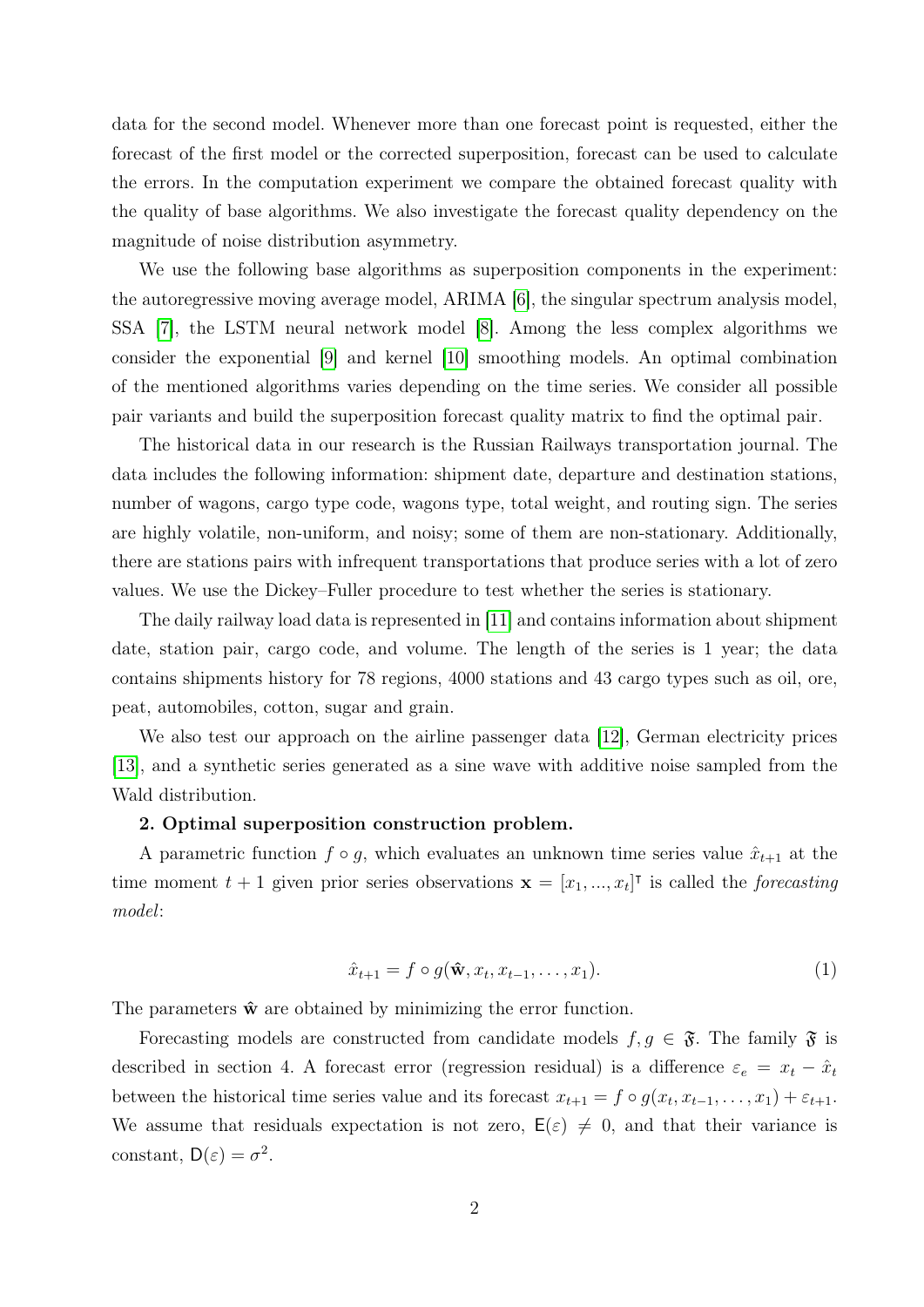data for the second model. Whenever more than one forecast point is requested, either the forecast of the first model or the corrected superposition, forecast can be used to calculate the errors. In the computation experiment we compare the obtained forecast quality with the quality of base algorithms. We also investigate the forecast quality dependency on the magnitude of noise distribution asymmetry.

We use the following base algorithms as superposition components in the experiment: the autoregressive moving average model, ARIMA [\[6\]](#page-8-5), the singular spectrum analysis model, SSA [\[7\]](#page-8-6), the LSTM neural network model [\[8\]](#page-8-7). Among the less complex algorithms we consider the exponential [\[9\]](#page-8-8) and kernel [\[10\]](#page-8-9) smoothing models. An optimal combination of the mentioned algorithms varies depending on the time series. We consider all possible pair variants and build the superposition forecast quality matrix to find the optimal pair.

The historical data in our research is the Russian Railways transportation journal. The data includes the following information: shipment date, departure and destination stations, number of wagons, cargo type code, wagons type, total weight, and routing sign. The series are highly volatile, non-uniform, and noisy; some of them are non-stationary. Additionally, there are stations pairs with infrequent transportations that produce series with a lot of zero values. We use the Dickey–Fuller procedure to test whether the series is stationary.

The daily railway load data is represented in [\[11\]](#page-8-10) and contains information about shipment date, station pair, cargo code, and volume. The length of the series is 1 year; the data contains shipments history for 78 regions, 4000 stations and 43 cargo types such as oil, ore, peat, automobiles, cotton, sugar and grain.

We also test our approach on the airline passenger data [\[12\]](#page-9-0), German electricity prices [\[13\]](#page-9-1), and a synthetic series generated as a sine wave with additive noise sampled from the Wald distribution.

## 2. Optimal superposition construction problem.

A parametric function  $f \circ g$ , which evaluates an unknown time series value  $\hat{x}_{t+1}$  at the time moment  $t + 1$  given prior series observations  $\mathbf{x} = [x_1, ..., x_t]^\mathsf{T}$  is called the *forecasting* model:

<span id="page-1-0"></span>
$$
\hat{x}_{t+1} = f \circ g(\hat{\mathbf{w}}, x_t, x_{t-1}, \dots, x_1). \tag{1}
$$

The parameters  $\hat{\mathbf{w}}$  are obtained by minimizing the error function.

Forecasting models are constructed from candidate models  $f, g \in \mathfrak{F}$ . The family  $\mathfrak{F}$  is described in section 4. A forecast error (regression residual) is a difference  $\varepsilon_e = x_t - \hat{x}_t$ between the historical time series value and its forecast  $x_{t+1} = f \circ g(x_t, x_{t-1}, \ldots, x_1) + \varepsilon_{t+1}$ . We assume that residuals expectation is not zero,  $E(\varepsilon) \neq 0$ , and that their variance is constant,  $D(\varepsilon) = \sigma^2$ .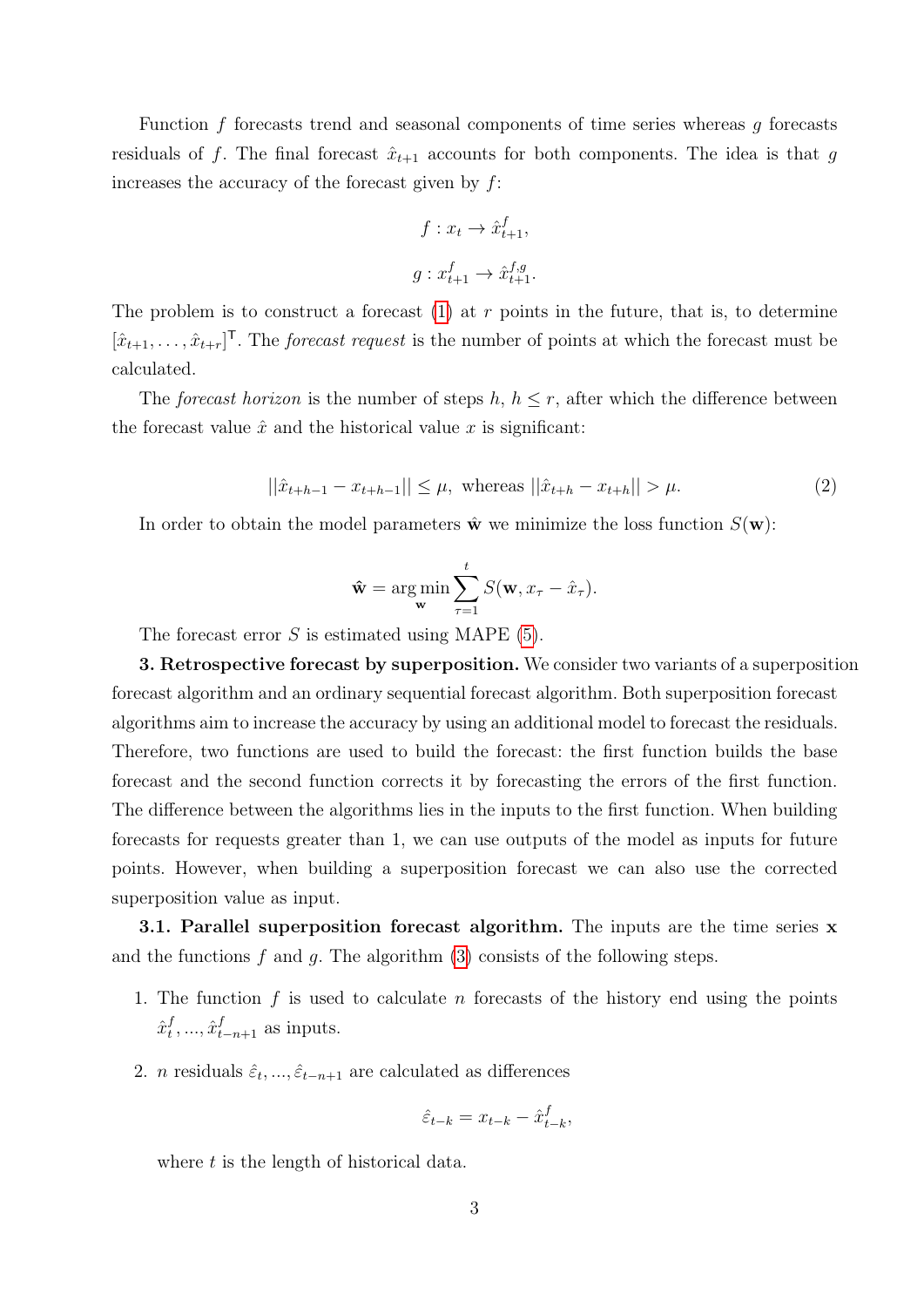Function  $f$  forecasts trend and seasonal components of time series whereas  $g$  forecasts residuals of f. The final forecast  $\hat{x}_{t+1}$  accounts for both components. The idea is that g increases the accuracy of the forecast given by  $f$ :

$$
f: x_t \to \hat{x}_{t+1}^f,
$$
  

$$
g: x_{t+1}^f \to \hat{x}_{t+1}^{f,g}.
$$

The problem is to construct a forecast  $(1)$  at r points in the future, that is, to determine  $[\hat{x}_{t+1}, \ldots, \hat{x}_{t+r}]^{\mathsf{T}}$ . The *forecast request* is the number of points at which the forecast must be calculated.

The forecast horizon is the number of steps h,  $h \leq r$ , after which the difference between the forecast value  $\hat{x}$  and the historical value x is significant:

<span id="page-2-0"></span>
$$
||\hat{x}_{t+h-1} - x_{t+h-1}|| \le \mu, \text{ whereas } ||\hat{x}_{t+h} - x_{t+h}|| > \mu.
$$
 (2)

In order to obtain the model parameters  $\hat{\mathbf{w}}$  we minimize the loss function  $S(\mathbf{w})$ :

$$
\hat{\mathbf{w}} = \argmin_{\mathbf{w}} \sum_{\tau=1}^{t} S(\mathbf{w}, x_{\tau} - \hat{x}_{\tau}).
$$

The forecast error  $S$  is estimated using MAPE [\(5\)](#page-5-0).

3. Retrospective forecast by superposition. We consider two variants of a superposition forecast algorithm and an ordinary sequential forecast algorithm. Both superposition forecast algorithms aim to increase the accuracy by using an additional model to forecast the residuals. Therefore, two functions are used to build the forecast: the first function builds the base forecast and the second function corrects it by forecasting the errors of the first function. The difference between the algorithms lies in the inputs to the first function. When building forecasts for requests greater than 1, we can use outputs of the model as inputs for future points. However, when building a superposition forecast we can also use the corrected superposition value as input.

**3.1. Parallel superposition forecast algorithm.** The inputs are the time series **x** and the functions  $f$  and  $g$ . The algorithm [\(3\)](#page-3-0) consists of the following steps.

- 1. The function  $f$  is used to calculate  $n$  forecasts of the history end using the points  $\hat{x}_t^f$  $t, \ldots, \hat{x}_{t-n+1}^f$  as inputs.
- 2. *n* residuals  $\hat{\varepsilon}_t, ..., \hat{\varepsilon}_{t-n+1}$  are calculated as differences

$$
\hat{\varepsilon}_{t-k} = x_{t-k} - \hat{x}_{t-k}^f,
$$

where  $t$  is the length of historical data.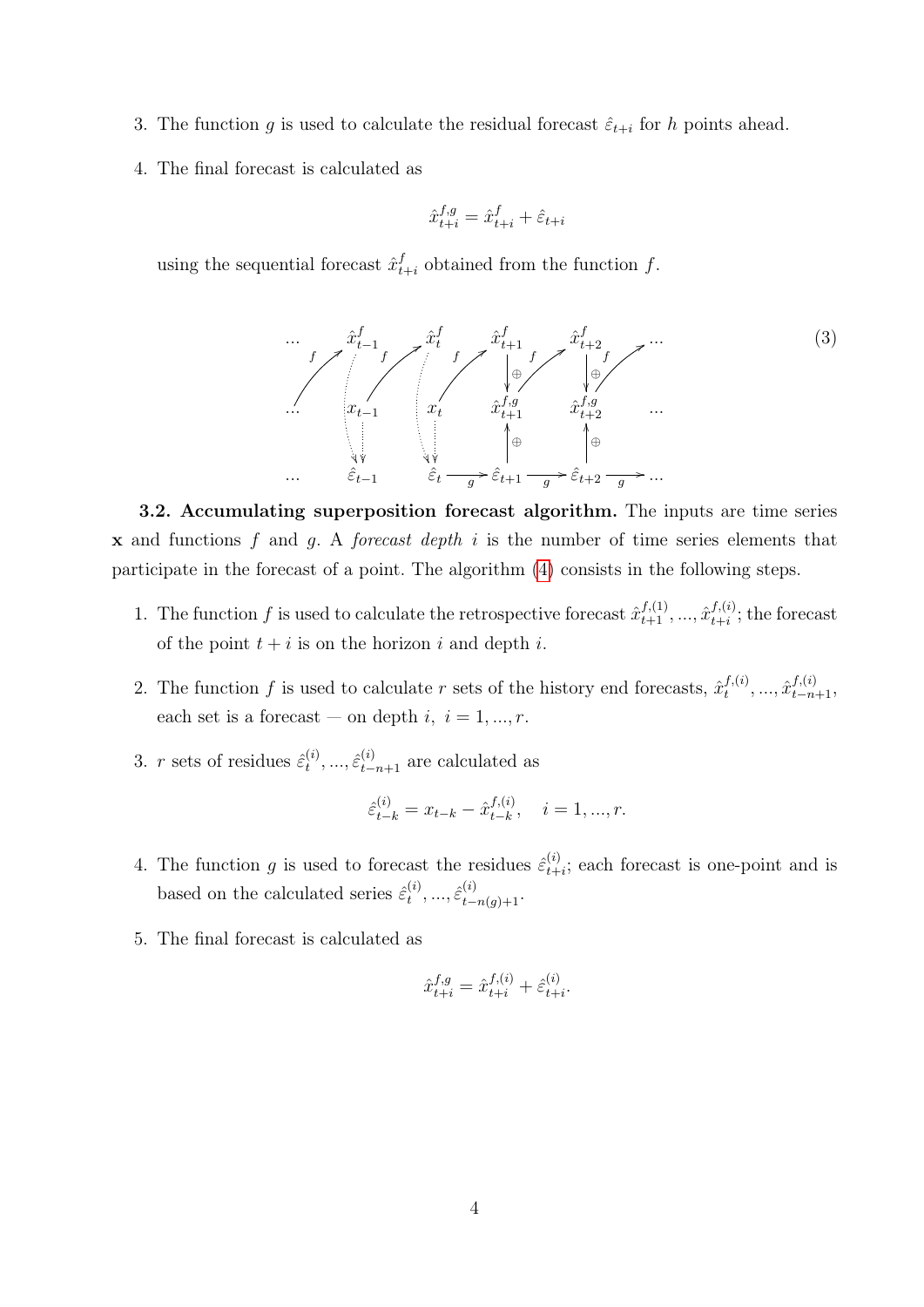- 3. The function g is used to calculate the residual forecast  $\hat{\varepsilon}_{t+i}$  for h points ahead.
- 4. The final forecast is calculated as

$$
\hat{x}_{t+i}^{f,g} = \hat{x}_{t+i}^f + \hat{\varepsilon}_{t+i}
$$

using the sequential forecast  $\hat{x}_t^f$  $t_{t+i}$  obtained from the function f.

<span id="page-3-0"></span>
$$
\cdots \qquad f \qquad \hat{x}_{t-1}^f \qquad \qquad \hat{x}_t^f \qquad \qquad \hat{x}_{t+1}^f \qquad \qquad \hat{x}_{t+2}^f \qquad \qquad \cdots \qquad \qquad (3)
$$
\n
$$
\cdots \qquad \qquad x_{t-1} \qquad \qquad x_t \qquad \qquad \hat{x}_{t+1}^f \qquad \qquad \hat{x}_{t+2}^f \qquad \qquad \cdots \qquad \qquad (3)
$$
\n
$$
\cdots \qquad \qquad \hat{x}_{t-1} \qquad \qquad \hat{x}_t \qquad \qquad \hat{x}_{t+1}^f \qquad \qquad \hat{x}_{t+2}^f \qquad \qquad \cdots \qquad \qquad (4)
$$
\n
$$
\qquad \qquad \hat{x}_t \qquad \qquad \hat{x}_{t+1}^f \qquad \qquad \hat{x}_{t+2}^f \qquad \qquad \cdots \qquad \qquad (5)
$$

3.2. Accumulating superposition forecast algorithm. The inputs are time series  $x$  and functions f and q. A forecast depth i is the number of time series elements that participate in the forecast of a point. The algorithm [\(4\)](#page-4-0) consists in the following steps.

- 1. The function f is used to calculate the retrospective forecast  $\hat{x}_{t+1}^{f,(1)}, \ldots, \hat{x}_{t+i}^{f,(i)}$  $_{t+i}^{J,(i)}$ ; the forecast of the point  $t + i$  is on the horizon i and depth i.
- 2. The function f is used to calculate r sets of the history end forecasts,  $\hat{x}^{f,(i)}_t$  $\hat{x}_{t}^{f,(i)}, \ldots, \hat{x}_{t-n+1}^{f,(i)},$ each set is a forecast — on depth  $i, i = 1, ..., r$ .
- 3. r sets of residues  $\hat{\varepsilon}_t^{(i)}$  $t^{(i)}, ..., \hat{\varepsilon}_{t-n+1}^{(i)}$  are calculated as

$$
\hat{\varepsilon}_{t-k}^{(i)} = x_{t-k} - \hat{x}_{t-k}^{f,(i)}, \quad i = 1, ..., r.
$$

- 4. The function g is used to forecast the residues  $\hat{\varepsilon}^{(i)}_{t+}$  $_{t+i}^{(i)}$ ; each forecast is one-point and is based on the calculated series  $\hat{\varepsilon}^{(i)}_t$  $\hat{\varepsilon}_{t-n(g)+1}^{(i)}$ ...,  $\hat{\varepsilon}_{t-n(g)+1}^{(i)}$ .
- 5. The final forecast is calculated as

$$
\hat{x}_{t+i}^{f,g} = \hat{x}_{t+i}^{f,(i)} + \hat{\varepsilon}_{t+i}^{(i)}.
$$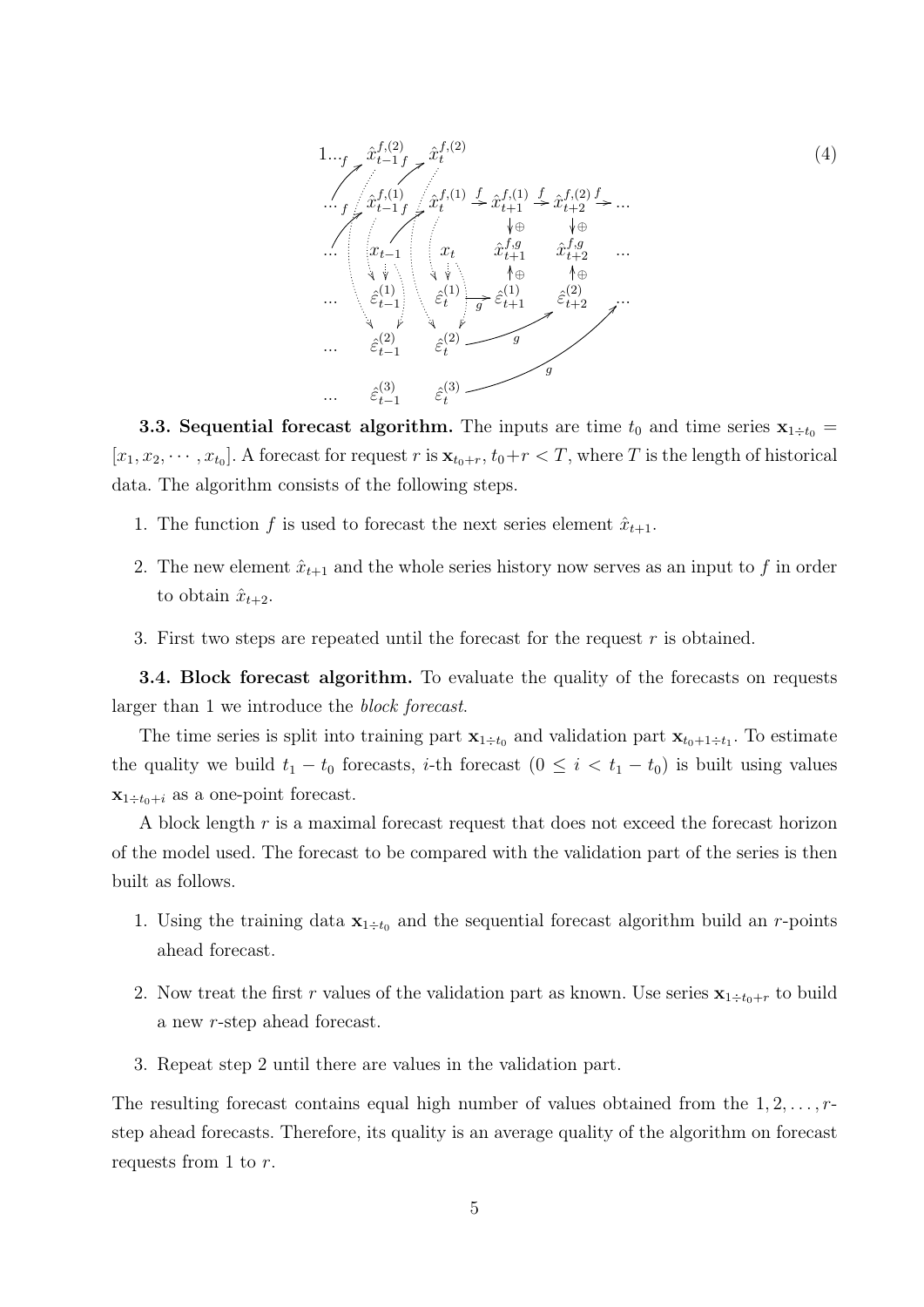<span id="page-4-0"></span>

**3.3. Sequential forecast algorithm.** The inputs are time  $t_0$  and time series  $\mathbf{x}_{1 \div t_0} =$  $[x_1, x_2, \cdots, x_{t_0}]$ . A forecast for request r is  $\mathbf{x}_{t_0+r}, t_0+r < T$ , where T is the length of historical data. The algorithm consists of the following steps.

- 1. The function f is used to forecast the next series element  $\hat{x}_{t+1}$ .
- 2. The new element  $\hat{x}_{t+1}$  and the whole series history now serves as an input to f in order to obtain  $\hat{x}_{t+2}$ .
- 3. First two steps are repeated until the forecast for the request  $r$  is obtained.

3.4. Block forecast algorithm. To evaluate the quality of the forecasts on requests larger than 1 we introduce the block forecast.

The time series is split into training part  $\mathbf{x}_{1 \div t_0}$  and validation part  $\mathbf{x}_{t_0+1 \div t_1}$ . To estimate the quality we build  $t_1 - t_0$  forecasts, *i*-th forecast  $(0 \leq i \leq t_1 - t_0)$  is built using values  $\mathbf{x}_{1 \div t_0+i}$  as a one-point forecast.

A block length r is a maximal forecast request that does not exceed the forecast horizon of the model used. The forecast to be compared with the validation part of the series is then built as follows.

- 1. Using the training data  $\mathbf{x}_{1 \div t_0}$  and the sequential forecast algorithm build an r-points ahead forecast.
- 2. Now treat the first r values of the validation part as known. Use series  $\mathbf{x}_{1 \div t_0+r}$  to build a new r-step ahead forecast.
- 3. Repeat step 2 until there are values in the validation part.

The resulting forecast contains equal high number of values obtained from the  $1, 2, \ldots, r$ step ahead forecasts. Therefore, its quality is an average quality of the algorithm on forecast requests from 1 to r.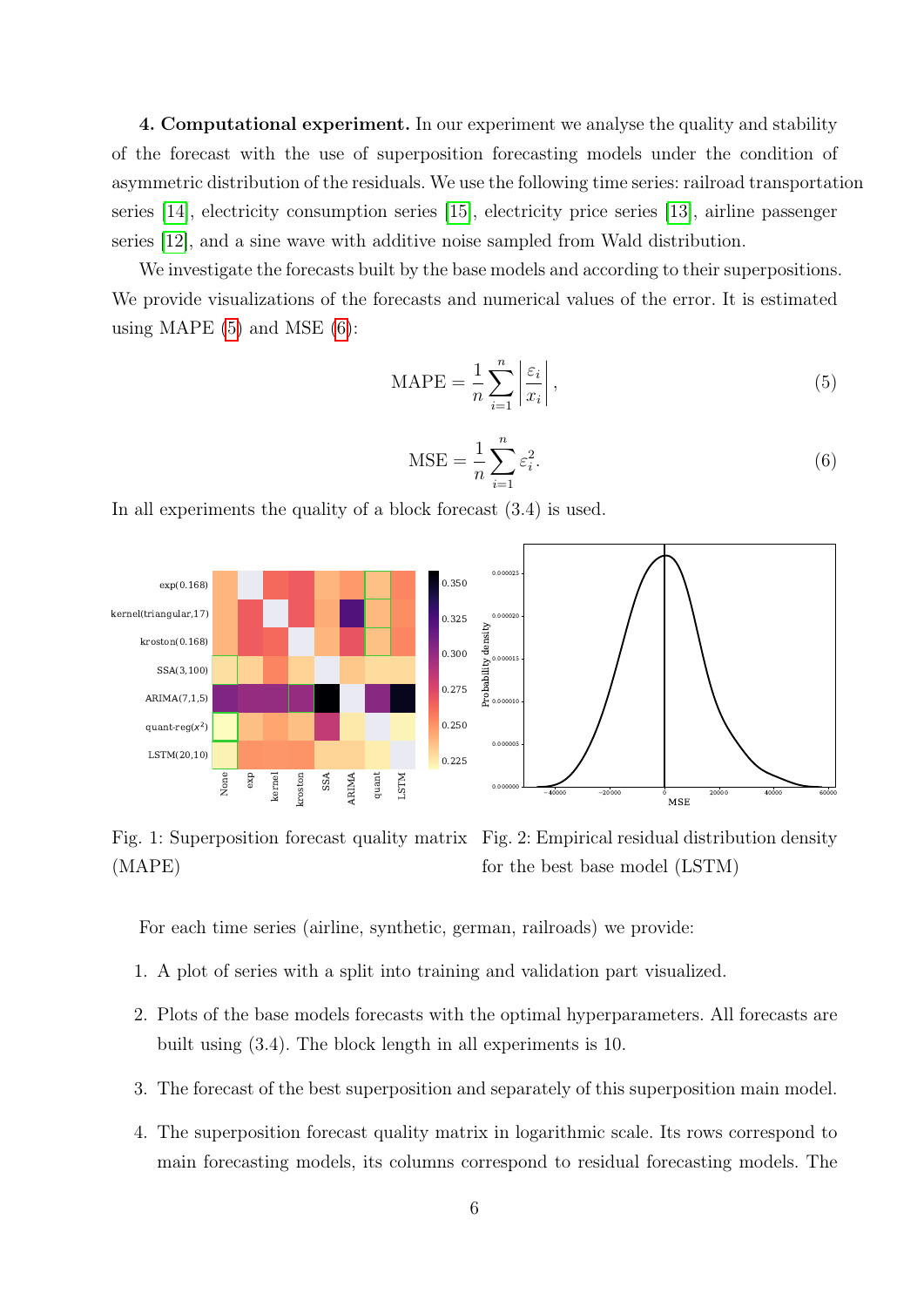4. Computational experiment. In our experiment we analyse the quality and stability of the forecast with the use of superposition forecasting models under the condition of asymmetric distribution of the residuals. We use the following time series: railroad transportation series [\[14\]](#page-9-2), electricity consumption series [\[15\]](#page-9-3), electricity price series [\[13\]](#page-9-1), airline passenger series [\[12\]](#page-9-0), and a sine wave with additive noise sampled from Wald distribution.

We investigate the forecasts built by the base models and according to their superpositions. We provide visualizations of the forecasts and numerical values of the error. It is estimated using MAPE  $(5)$  and MSE  $(6)$ :

<span id="page-5-0"></span>
$$
\text{MAPE} = \frac{1}{n} \sum_{i=1}^{n} \left| \frac{\varepsilon_i}{x_i} \right|,\tag{5}
$$

<span id="page-5-1"></span>
$$
\text{MSE} = \frac{1}{n} \sum_{i=1}^{n} \varepsilon_i^2. \tag{6}
$$

In all experiments the quality of a block forecast (3.4) is used.

<span id="page-5-2"></span>

Fig. 1: Superposition forecast quality matrix Fig. 2: Empirical residual distribution density (MAPE) for the best base model (LSTM)

For each time series (airline, synthetic, german, railroads) we provide:

- 1. A plot of series with a split into training and validation part visualized.
- 2. Plots of the base models forecasts with the optimal hyperparameters. All forecasts are built using (3.4). The block length in all experiments is 10.
- 3. The forecast of the best superposition and separately of this superposition main model.
- 4. The superposition forecast quality matrix in logarithmic scale. Its rows correspond to main forecasting models, its columns correspond to residual forecasting models. The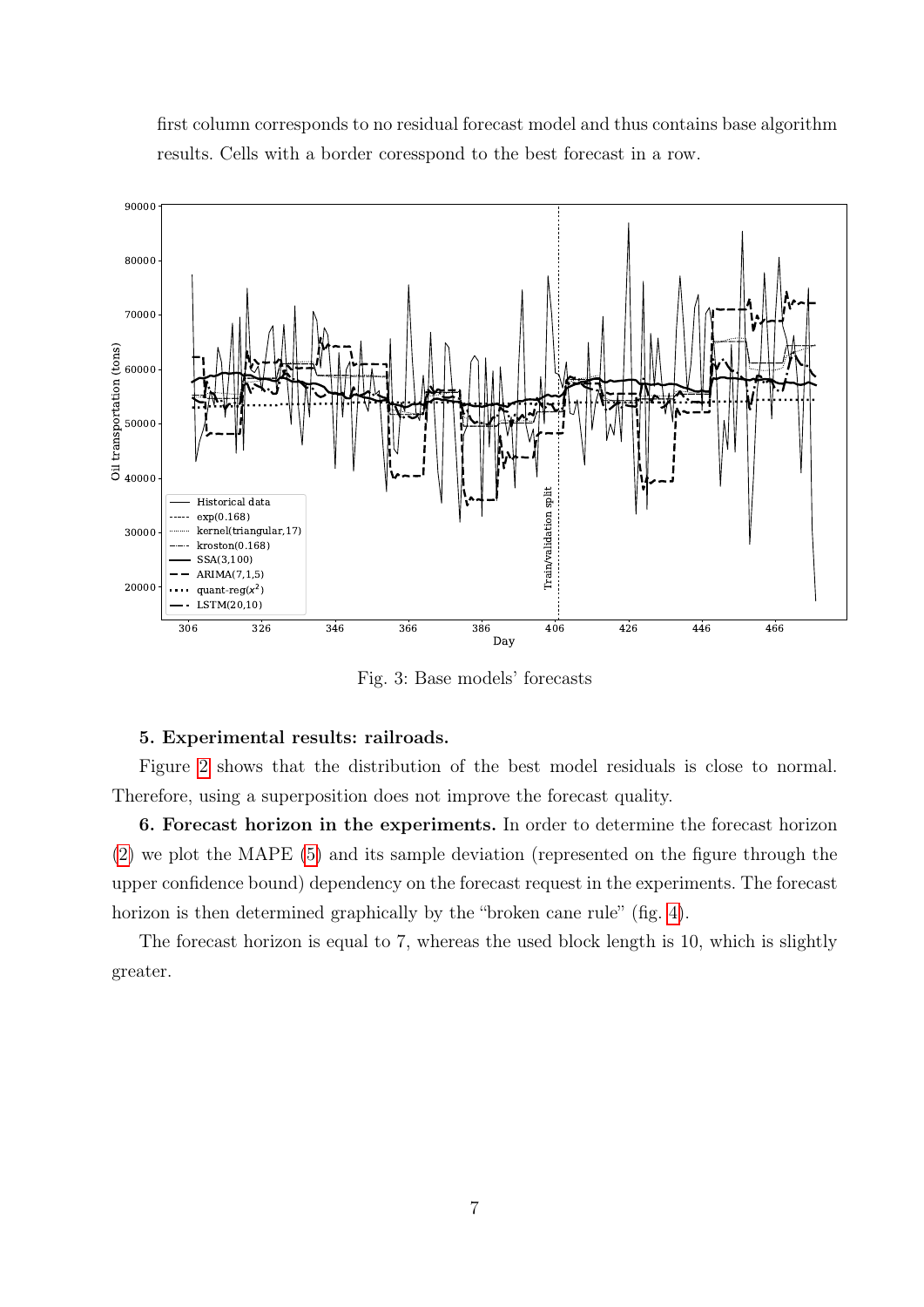

first column corresponds to no residual forecast model and thus contains base algorithm results. Cells with a border coresspond to the best forecast in a row.

Fig. 3: Base models' forecasts

## 5. Experimental results: railroads.

Figure [2](#page-5-2) shows that the distribution of the best model residuals is close to normal. Therefore, using a superposition does not improve the forecast quality.

6. Forecast horizon in the experiments. In order to determine the forecast horizon [\(2\)](#page-2-0) we plot the MAPE [\(5\)](#page-5-0) and its sample deviation (represented on the figure through the upper confidence bound) dependency on the forecast request in the experiments. The forecast horizon is then determined graphically by the "broken cane rule" (fig. [4\)](#page-7-0).

The forecast horizon is equal to 7, whereas the used block length is 10, which is slightly greater.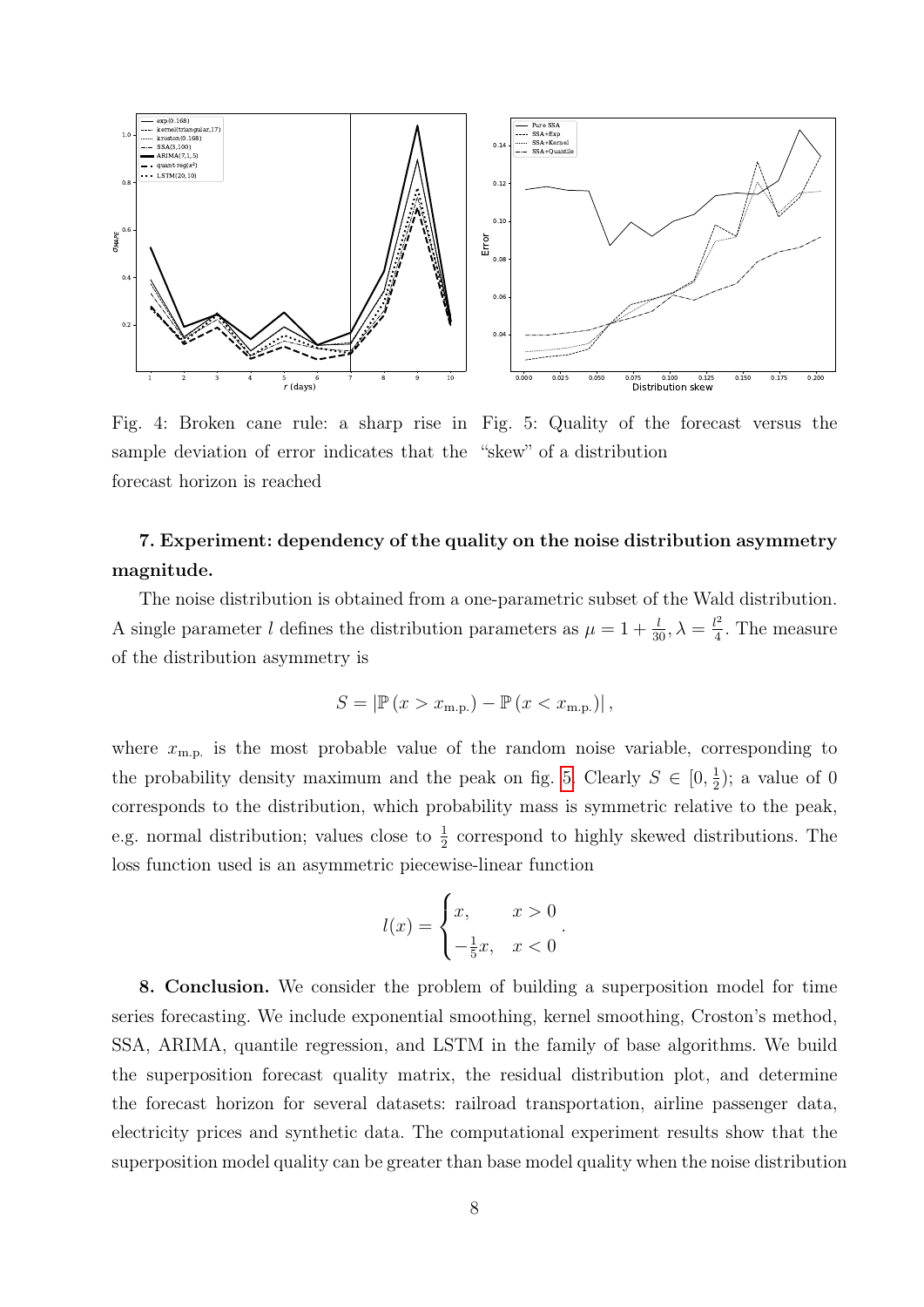<span id="page-7-0"></span>

Fig. 4: Broken cane rule: a sharp rise in Fig. 5: Quality of the forecast versus the sample deviation of error indicates that the "skew" of a distribution forecast horizon is reached

# 7. Experiment: dependency of the quality on the noise distribution asymmetry magnitude.

The noise distribution is obtained from a one-parametric subset of the Wald distribution. A single parameter l defines the distribution parameters as  $\mu = 1 + \frac{l}{30}, \lambda = \frac{l^2}{4}$  $\frac{l^2}{4}$ . The measure of the distribution asymmetry is

$$
S = \left| \mathbb{P}\left(x > x_{\text{m.p.}}\right) - \mathbb{P}\left(x < x_{\text{m.p.}}\right) \right|,
$$

where  $x_{\text{m.p.}}$  is the most probable value of the random noise variable, corresponding to the probability density maximum and the peak on fig. [5.](#page-7-0) Clearly  $S \in [0, \frac{1}{2}]$  $(\frac{1}{2})$ ; a value of 0 corresponds to the distribution, which probability mass is symmetric relative to the peak, e.g. normal distribution; values close to  $\frac{1}{2}$  correspond to highly skewed distributions. The loss function used is an asymmetric piecewise-linear function

$$
l(x) = \begin{cases} x, & x > 0\\ -\frac{1}{5}x, & x < 0 \end{cases}
$$

.

8. Conclusion. We consider the problem of building a superposition model for time series forecasting. We include exponential smoothing, kernel smoothing, Croston's method, SSA, ARIMA, quantile regression, and LSTM in the family of base algorithms. We build the superposition forecast quality matrix, the residual distribution plot, and determine the forecast horizon for several datasets: railroad transportation, airline passenger data, electricity prices and synthetic data. The computational experiment results show that the superposition model quality can be greater than base model quality when the noise distribution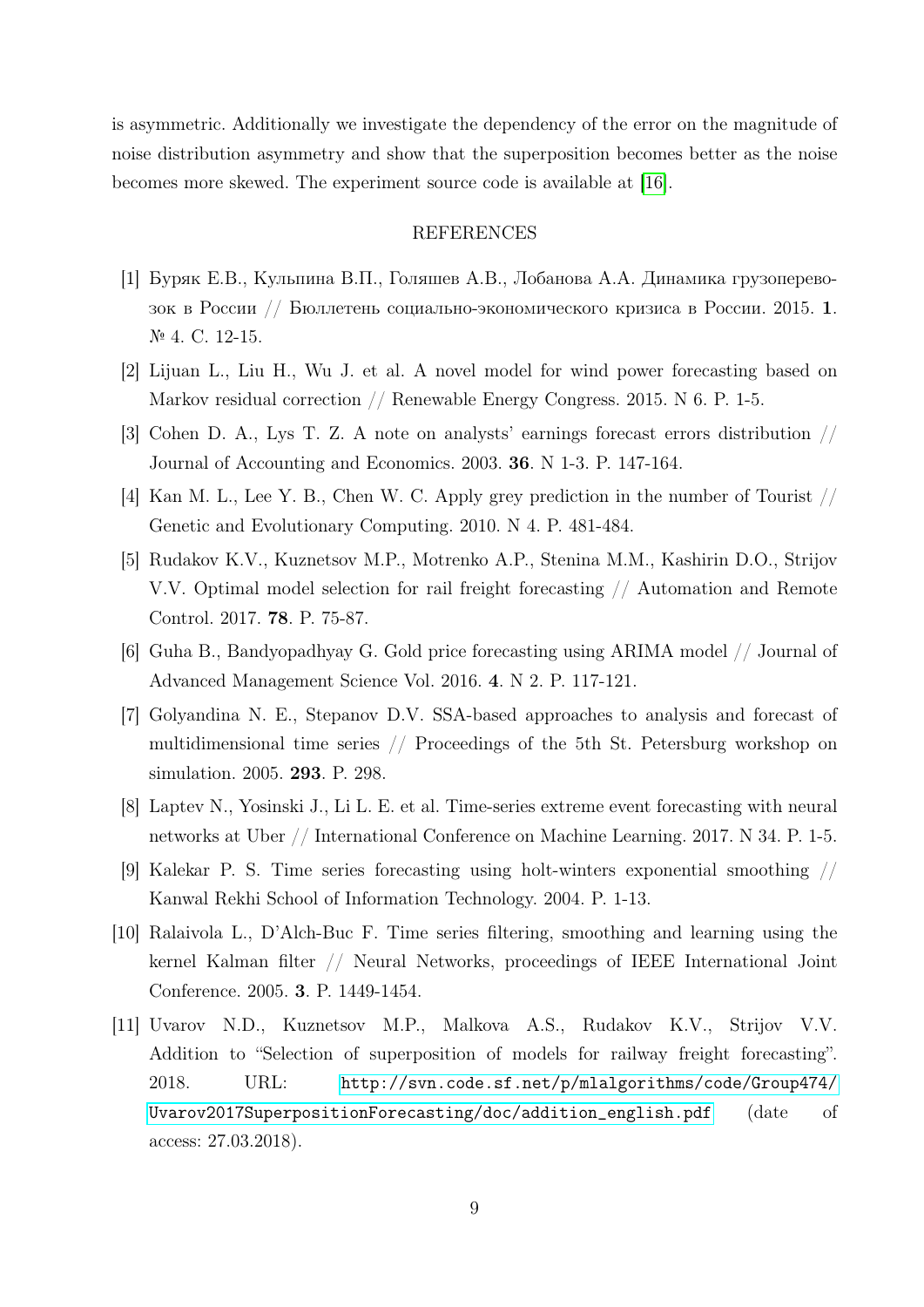is asymmetric. Additionally we investigate the dependency of the error on the magnitude of noise distribution asymmetry and show that the superposition becomes better as the noise becomes more skewed. The experiment source code is available at [\[16\]](#page-9-4).

## REFERENCES

- <span id="page-8-0"></span>[1] Буряк Е.В., Кульпина В.П., Голяшев А.В., Лобанова А.А. Динамика грузоперевозок в России // Бюллетень социально-экономического кризиса в России. 2015. 1. № 4. С. 12-15.
- <span id="page-8-1"></span>[2] Lijuan L., Liu H., Wu J. et al. A novel model for wind power forecasting based on Markov residual correction // Renewable Energy Congress. 2015. N 6. P. 1-5.
- <span id="page-8-2"></span>[3] Cohen D. A., Lys T. Z. A note on analysts' earnings forecast errors distribution // Journal of Accounting and Economics. 2003. 36. N 1-3. P. 147-164.
- <span id="page-8-3"></span>[4] Kan M. L., Lee Y. B., Chen W. C. Apply grey prediction in the number of Tourist // Genetic and Evolutionary Computing. 2010. N 4. P. 481-484.
- <span id="page-8-4"></span>[5] Rudakov K.V., Kuznetsov M.P., Motrenko A.P., Stenina M.M., Kashirin D.O., Strijov V.V. Optimal model selection for rail freight forecasting // Automation and Remote Control. 2017. 78. P. 75-87.
- <span id="page-8-5"></span>[6] Guha B., Bandyopadhyay G. Gold price forecasting using ARIMA model // Journal of Advanced Management Science Vol. 2016. 4. N 2. P. 117-121.
- <span id="page-8-6"></span>[7] Golyandina N. E., Stepanov D.V. SSA-based approaches to analysis and forecast of multidimensional time series // Proceedings of the 5th St. Petersburg workshop on simulation. 2005. 293. P. 298.
- <span id="page-8-7"></span>[8] Laptev N., Yosinski J., Li L. E. et al. Time-series extreme event forecasting with neural networks at Uber // International Conference on Machine Learning. 2017. N 34. P. 1-5.
- <span id="page-8-8"></span>[9] Kalekar P. S. Time series forecasting using holt-winters exponential smoothing // Kanwal Rekhi School of Information Technology. 2004. P. 1-13.
- <span id="page-8-9"></span>[10] Ralaivola L., D'Alch-Buc F. Time series filtering, smoothing and learning using the kernel Kalman filter // Neural Networks, proceedings of IEEE International Joint Conference. 2005. 3. P. 1449-1454.
- <span id="page-8-10"></span>[11] Uvarov N.D., Kuznetsov M.P., Malkova A.S., Rudakov K.V., Strijov V.V. Addition to "Selection of superposition of models for railway freight forecasting". 2018. URL: [http://svn.code.sf.net/p/mlalgorithms/code/Group474/](http://svn.code.sf.net/p/mlalgorithms/code/Group474/Uvarov2017SuperpositionForecasting/doc/addition_english.pdf) [Uvarov2017SuperpositionForecasting/doc/addition\\_english.pdf](http://svn.code.sf.net/p/mlalgorithms/code/Group474/Uvarov2017SuperpositionForecasting/doc/addition_english.pdf) (date of access: 27.03.2018).